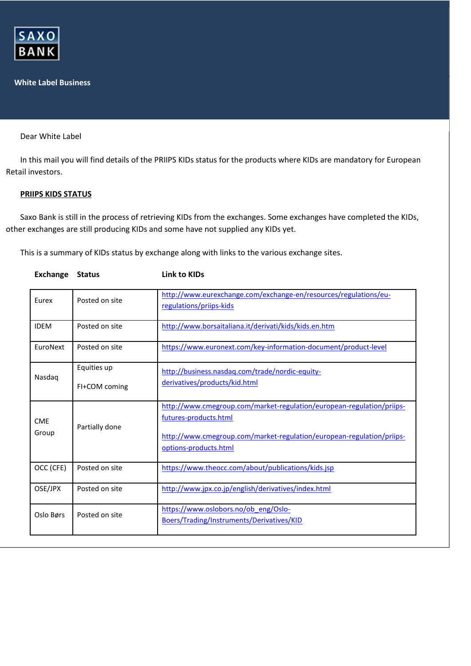

## **White Label Business**

Dear White Label

In this mail you will find details of the PRIIPS KIDs status for the products where KIDs are mandatory for European Retail investors.

## **PRIIPS KIDS STATUS**

Saxo Bank is still in the process of retrieving KIDs from the exchanges. Some exchanges have completed the KIDs, other exchanges are still producing KIDs and some have not supplied any KIDs yet.

This is a summary of KIDs status by exchange along with links to the various exchange sites.

| Eurex               | Posted on site | http://www.eurexchange.com/exchange-en/resources/regulations/eu-<br>regulations/priips-kids                                                                                                      |
|---------------------|----------------|--------------------------------------------------------------------------------------------------------------------------------------------------------------------------------------------------|
| <b>IDEM</b>         | Posted on site | http://www.borsaitaliana.it/derivati/kids/kids.en.htm                                                                                                                                            |
| EuroNext            | Posted on site | https://www.euronext.com/key-information-document/product-level                                                                                                                                  |
| Nasdag              | Equities up    | http://business.nasdaq.com/trade/nordic-equity-                                                                                                                                                  |
|                     | FI+COM coming  | derivatives/products/kid.html                                                                                                                                                                    |
| <b>CME</b><br>Group | Partially done | http://www.cmegroup.com/market-regulation/european-regulation/priips-<br>futures-products.html<br>http://www.cmegroup.com/market-regulation/european-regulation/priips-<br>options-products.html |
| OCC (CFE)           | Posted on site | https://www.theocc.com/about/publications/kids.jsp                                                                                                                                               |
| OSE/JPX             | Posted on site | http://www.jpx.co.jp/english/derivatives/index.html                                                                                                                                              |
| Oslo Børs           | Posted on site | https://www.oslobors.no/ob eng/Oslo-<br>Boers/Trading/Instruments/Derivatives/KID                                                                                                                |